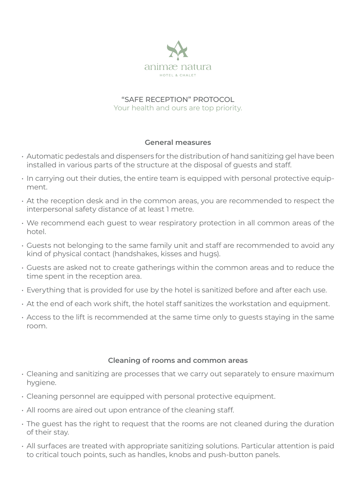

"SAFE RECEPTION" PROTOCOL Your health and ours are top priority.

## **General measures**

- Automatic pedestals and dispensers for the distribution of hand sanitizing gel have been installed in various parts of the structure at the disposal of guests and staff.
- In carrying out their duties, the entire team is equipped with personal protective equipment.
- At the reception desk and in the common areas, you are recommended to respect the interpersonal safety distance of at least 1 metre.
- We recommend each guest to wear respiratory protection in all common areas of the hotel.
- Guests not belonging to the same family unit and staff are recommended to avoid any kind of physical contact (handshakes, kisses and hugs).
- Guests are asked not to create gatherings within the common areas and to reduce the time spent in the reception area.
- Everything that is provided for use by the hotel is sanitized before and after each use.
- At the end of each work shift, the hotel staff sanitizes the workstation and equipment.
- Access to the lift is recommended at the same time only to guests staying in the same room.

## **Cleaning of rooms and common areas**

- Cleaning and sanitizing are processes that we carry out separately to ensure maximum hygiene.
- Cleaning personnel are equipped with personal protective equipment.
- All rooms are aired out upon entrance of the cleaning staff.
- The guest has the right to request that the rooms are not cleaned during the duration of their stay.
- All surfaces are treated with appropriate sanitizing solutions. Particular attention is paid to critical touch points, such as handles, knobs and push-button panels.